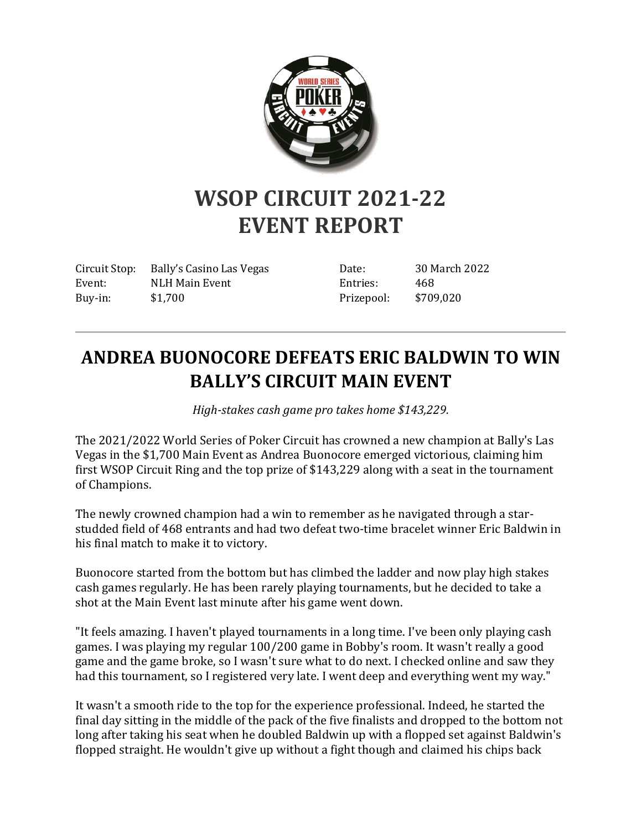

# **WSOP CIRCUIT 2021-22 EVENT REPORT**

Circuit Stop: Bally's Casino Las Vegas Event: NLH Main Event Buy-in: \$1,700

Date: 30 March 2022 Entries: 468 Prizepool: \$709,020

# **ANDREA BUONOCORE DEFEATS ERIC BALDWIN TO WIN BALLY'S CIRCUIT MAIN EVENT**

*High-stakes cash game pro takes home \$143,229.*

The 2021/2022 World Series of Poker Circuit has crowned a new champion at Bally's Las Vegas in the \$1,700 Main Event as Andrea Buonocore emerged victorious, claiming him first WSOP Circuit Ring and the top prize of \$143,229 along with a seat in the tournament of Champions.

The newly crowned champion had a win to remember as he navigated through a starstudded field of 468 entrants and had two defeat two-time bracelet winner Eric Baldwin in his final match to make it to victory.

Buonocore started from the bottom but has climbed the ladder and now play high stakes cash games regularly. He has been rarely playing tournaments, but he decided to take a shot at the Main Event last minute after his game went down.

"It feels amazing. I haven't played tournaments in a long time. I've been only playing cash games. I was playing my regular 100/200 game in Bobby's room. It wasn't really a good game and the game broke, so I wasn't sure what to do next. I checked online and saw they had this tournament, so I registered very late. I went deep and everything went my way."

It wasn't a smooth ride to the top for the experience professional. Indeed, he started the final day sitting in the middle of the pack of the five finalists and dropped to the bottom not long after taking his seat when he doubled Baldwin up with a flopped set against Baldwin's flopped straight. He wouldn't give up without a fight though and claimed his chips back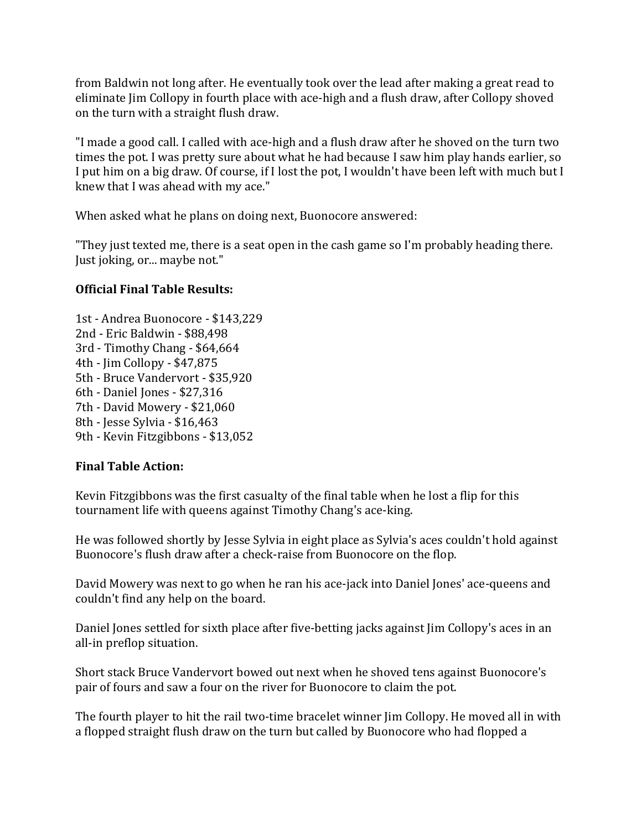from Baldwin not long after. He eventually took over the lead after making a great read to eliminate Jim Collopy in fourth place with ace-high and a flush draw, after Collopy shoved on the turn with a straight flush draw.

"I made a good call. I called with ace-high and a flush draw after he shoved on the turn two times the pot. I was pretty sure about what he had because I saw him play hands earlier, so I put him on a big draw. Of course, if I lost the pot, I wouldn't have been left with much but I knew that I was ahead with my ace."

When asked what he plans on doing next, Buonocore answered:

"They just texted me, there is a seat open in the cash game so I'm probably heading there. Just joking, or... maybe not."

#### **Official Final Table Results:**

1st - Andrea Buonocore - \$143,229 2nd - Eric Baldwin - \$88,498 3rd - Timothy Chang - \$64,664 4th - Jim Collopy - \$47,875 5th - Bruce Vandervort - \$35,920 6th - Daniel Jones - \$27,316 7th - David Mowery - \$21,060 8th - Jesse Sylvia - \$16,463 9th - Kevin Fitzgibbons - \$13,052

#### **Final Table Action:**

Kevin Fitzgibbons was the first casualty of the final table when he lost a flip for this tournament life with queens against Timothy Chang's ace-king.

He was followed shortly by Jesse Sylvia in eight place as Sylvia's aces couldn't hold against Buonocore's flush draw after a check-raise from Buonocore on the flop.

David Mowery was next to go when he ran his ace-jack into Daniel Jones' ace-queens and couldn't find any help on the board.

Daniel Jones settled for sixth place after five-betting jacks against Jim Collopy's aces in an all-in preflop situation.

Short stack Bruce Vandervort bowed out next when he shoved tens against Buonocore's pair of fours and saw a four on the river for Buonocore to claim the pot.

The fourth player to hit the rail two-time bracelet winner Jim Collopy. He moved all in with a flopped straight flush draw on the turn but called by Buonocore who had flopped a